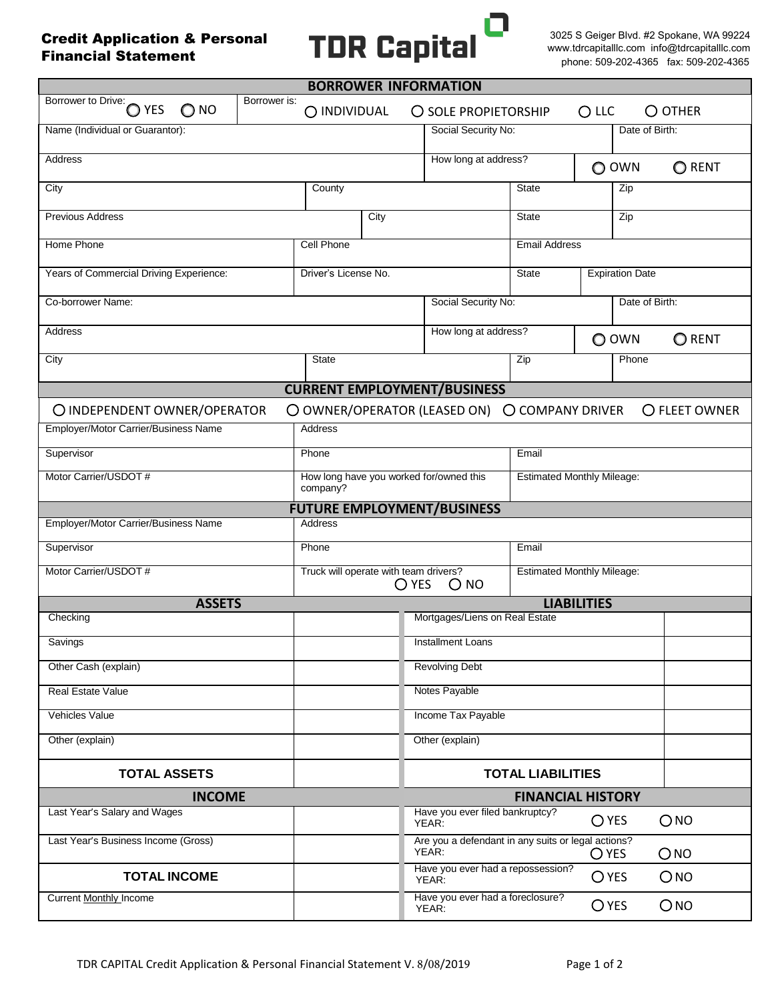Credit Application & Personal Financial Statement



3025 S Geiger Blvd. #2 Spokane, WA 99224 www.tdrcapitalllc.com info@tdrcapitalllc.com phone: 509-202-4365 fax: 509-202-4365

| <b>BORROWER INFORMATION</b>                                                                       |                                                                   |                                                                                                  |                                   |                                   |                |  |  |
|---------------------------------------------------------------------------------------------------|-------------------------------------------------------------------|--------------------------------------------------------------------------------------------------|-----------------------------------|-----------------------------------|----------------|--|--|
| Borrower to Drive:<br>Borrower is:<br>O YES<br>$\bigcirc$ NO                                      | O INDIVIDUAL<br>O SOLE PROPIETORSHIP                              |                                                                                                  |                                   | $O$ LLC<br>$O$ OTHER              |                |  |  |
| Name (Individual or Guarantor):                                                                   |                                                                   | Social Security No:                                                                              |                                   | Date of Birth:                    |                |  |  |
| <b>Address</b>                                                                                    |                                                                   |                                                                                                  | How long at address?              |                                   | O RENT         |  |  |
| City                                                                                              | County                                                            |                                                                                                  | <b>State</b>                      | Zip                               |                |  |  |
| <b>Previous Address</b>                                                                           | City                                                              |                                                                                                  | <b>State</b>                      | Zip                               |                |  |  |
| Home Phone                                                                                        | <b>Cell Phone</b>                                                 |                                                                                                  |                                   | <b>Email Address</b>              |                |  |  |
| Years of Commercial Driving Experience:                                                           | Driver's License No.                                              |                                                                                                  | <b>State</b>                      | <b>Expiration Date</b>            |                |  |  |
| Co-borrower Name:                                                                                 |                                                                   |                                                                                                  | Social Security No:               |                                   | Date of Birth: |  |  |
| <b>Address</b>                                                                                    | How long at address?                                              |                                                                                                  |                                   | O OWN                             | O RENT         |  |  |
| City                                                                                              | <b>State</b>                                                      |                                                                                                  | Zip                               | Phone                             |                |  |  |
|                                                                                                   | <b>CURRENT EMPLOYMENT/BUSINESS</b>                                |                                                                                                  |                                   |                                   |                |  |  |
| O OWNER/OPERATOR (LEASED ON)<br>O COMPANY DRIVER<br>O INDEPENDENT OWNER/OPERATOR<br>O FLEET OWNER |                                                                   |                                                                                                  |                                   |                                   |                |  |  |
| Employer/Motor Carrier/Business Name                                                              | Address                                                           |                                                                                                  |                                   |                                   |                |  |  |
| Supervisor                                                                                        | Phone                                                             |                                                                                                  | Email                             |                                   |                |  |  |
| Motor Carrier/USDOT #                                                                             | How long have you worked for/owned this<br>company?               |                                                                                                  | <b>Estimated Monthly Mileage:</b> |                                   |                |  |  |
| <b>FUTURE EMPLOYMENT/BUSINESS</b>                                                                 |                                                                   |                                                                                                  |                                   |                                   |                |  |  |
| Employer/Motor Carrier/Business Name<br><b>Address</b>                                            |                                                                   |                                                                                                  |                                   |                                   |                |  |  |
| Supervisor                                                                                        | Phone                                                             |                                                                                                  | Email                             |                                   |                |  |  |
| Motor Carrier/USDOT #                                                                             | Truck will operate with team drivers?<br>$\bigcirc$ YES<br>$O$ NO |                                                                                                  |                                   | <b>Estimated Monthly Mileage:</b> |                |  |  |
| <b>ASSETS</b><br><b>LIABILITIES</b>                                                               |                                                                   |                                                                                                  |                                   |                                   |                |  |  |
| Checking                                                                                          |                                                                   | Mortgages/Liens on Real Estate                                                                   |                                   |                                   |                |  |  |
| Savings                                                                                           |                                                                   | Installment Loans                                                                                |                                   |                                   |                |  |  |
| Other Cash (explain)                                                                              |                                                                   | <b>Revolving Debt</b>                                                                            |                                   |                                   |                |  |  |
| Real Estate Value                                                                                 |                                                                   | Notes Payable                                                                                    |                                   |                                   |                |  |  |
| Vehicles Value<br>Other (explain)                                                                 |                                                                   | Income Tax Payable<br>Other (explain)                                                            |                                   |                                   |                |  |  |
|                                                                                                   |                                                                   |                                                                                                  |                                   |                                   |                |  |  |
| <b>TOTAL ASSETS</b>                                                                               |                                                                   | <b>TOTAL LIABILITIES</b>                                                                         |                                   |                                   |                |  |  |
| <b>INCOME</b><br><b>FINANCIAL HISTORY</b>                                                         |                                                                   |                                                                                                  |                                   |                                   |                |  |  |
| Last Year's Salary and Wages                                                                      |                                                                   | Have you ever filed bankruptcy?<br>YEAR:                                                         |                                   | $\bigcirc$ YES                    | ONO            |  |  |
| Last Year's Business Income (Gross)                                                               |                                                                   | Are you a defendant in any suits or legal actions?<br>YEAR:<br>$\bigcirc$ yes<br>O <sub>NO</sub> |                                   |                                   |                |  |  |
| <b>TOTAL INCOME</b>                                                                               |                                                                   | Have you ever had a repossession?<br>ONO<br>$O$ YES<br>YEAR:                                     |                                   |                                   |                |  |  |
| <b>Current Monthly Income</b>                                                                     |                                                                   | Have you ever had a foreclosure?<br>YEAR:                                                        |                                   | <b>O</b> YES                      | ONO            |  |  |